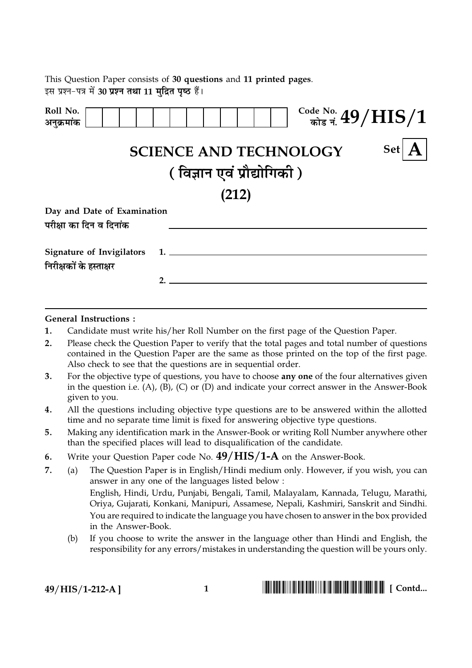This Question Paper consists of 30 questions and 11 printed pages. इस प्रश्न-पत्र में 30 प्रश्न तथा 11 मद्रित पष्ठ हैं।

| Roll No.<br>अनुक्रमांक                                      |                               | $\frac{\text{Code No.}}{\text{min of A}}$ $49/ \text{HIS}/1$ |
|-------------------------------------------------------------|-------------------------------|--------------------------------------------------------------|
|                                                             | <b>SCIENCE AND TECHNOLOGY</b> | <b>Set</b>                                                   |
|                                                             | (विज्ञान एवं प्रौद्योगिकी)    |                                                              |
|                                                             | (212)                         |                                                              |
| Day and Date of Examination<br>परीक्षा का दिन व दिनांक      |                               |                                                              |
| <b>Signature of Invigilators</b><br>निरीक्षकों के हस्ताक्षर | $1.$ $\qquad$                 |                                                              |
|                                                             |                               |                                                              |

## **General Instructions:**

- $\mathbf{1}$ . Candidate must write his/her Roll Number on the first page of the Question Paper.
- $2.$ Please check the Question Paper to verify that the total pages and total number of questions contained in the Question Paper are the same as those printed on the top of the first page. Also check to see that the questions are in sequential order.
- $3.$ For the objective type of questions, you have to choose **any one** of the four alternatives given in the question i.e.  $(A)$ ,  $(B)$ ,  $(C)$  or  $(D)$  and indicate your correct answer in the Answer-Book given to you.
- $4.$ All the questions including objective type questions are to be answered within the allotted time and no separate time limit is fixed for answering objective type questions.
- Making any identification mark in the Answer-Book or writing Roll Number anywhere other  $5<sub>1</sub>$ than the specified places will lead to disqualification of the candidate.
- Write your Question Paper code No.  $49/HIS/1-A$  on the Answer-Book. 6.
- 7. The Question Paper is in English/Hindi medium only. However, if you wish, you can  $(a)$ answer in any one of the languages listed below : English, Hindi, Urdu, Punjabi, Bengali, Tamil, Malayalam, Kannada, Telugu, Marathi, Oriya, Gujarati, Konkani, Manipuri, Assamese, Nepali, Kashmiri, Sanskrit and Sindhi. You are required to indicate the language you have chosen to answer in the box provided in the Answer-Book.
	- If you choose to write the answer in the language other than Hindi and English, the  $(b)$ responsibility for any errors/mistakes in understanding the question will be yours only.

49/HIS/1-212-A]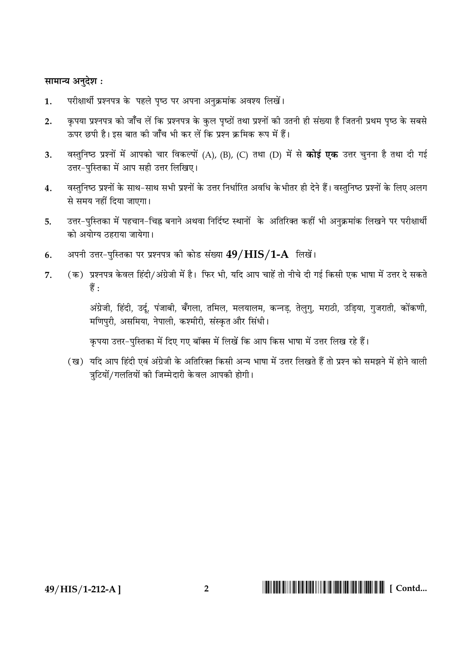## सामान्य अनुदेश:

- परीक्षार्थी प्रश्नपत्र के पहले पष्ठ पर अपना अनक्रमांक अवश्य लिखें।  $\mathbf{1}$ .
- कृपया प्रश्नपत्र को जाँच लें कि प्रश्नपत्र के कुल पृष्ठों तथा प्रश्नों की उतनी ही संख्या है जितनी प्रथम पृष्ठ के सबसे  $2.$ ऊपर छपी है। इस बात की जाँच भी कर लें कि प्रश्न क्रमिक रूप में हैं।
- वस्तुनिष्ठ प्रश्नों में आपको चार विकल्पों (A), (B), (C) तथा (D) में से **कोई एक** उत्तर चुनना है तथा दी गई  $\overline{3}$ . उत्तर-पुस्तिका में आप सही उत्तर लिखिए।
- वस्तनिष्ठ प्रश्नों के साथ-साथ सभी प्रश्नों के उत्तर निर्धारित अवधि केभीतर ही देने हैं। वस्तनिष्ठ प्रश्नों के लिए अलग  $\overline{\mathbf{4}}$ से समय नहीं दिया जाएगा।
- उत्तर-पुस्तिका में पहचान-चिह्न बनाने अथवा निर्दिष्ट स्थानों के अतिरिक्त कहीं भी अनुक्रमांक लिखने पर परीक्षार्थी 5. को अयोग्य तहराया जायेगा।
- अपनी उत्तर-पुस्तिका पर प्रश्नपत्र की कोड संख्या 49/HIS/1-A लिखें। 6.
- (क) प्रश्नपत्र केवल हिंदी/अंग्रेजी में है। फिर भी, यदि आप चाहें तो नीचे दी गई किसी एक भाषा में उत्तर दे सकते  $\overline{7}$ हैं:

अंग्रेजी, हिंदी, उर्दू, पंजाबी, बँगला, तमिल, मलयालम, कन्नड़, तेलुगु, मराठी, उड़िया, गुजराती, कोंकणी, मणिपुरी, असमिया, नेपाली, कश्मीरी, संस्कृत और सिंधी।

कृपया उत्तर-पुस्तिका में दिए गए बॉक्स में लिखें कि आप किस भाषा में उत्तर लिख रहे हैं।

(ख) यदि आप हिंदी एवं अंग्रेजी के अतिरिक्त किसी अन्य भाषा में उत्तर लिखते हैं तो प्रश्न को समझने में होने वाली त्रटियों/गलतियों की जिम्मेदारी के वल आपकी होगी।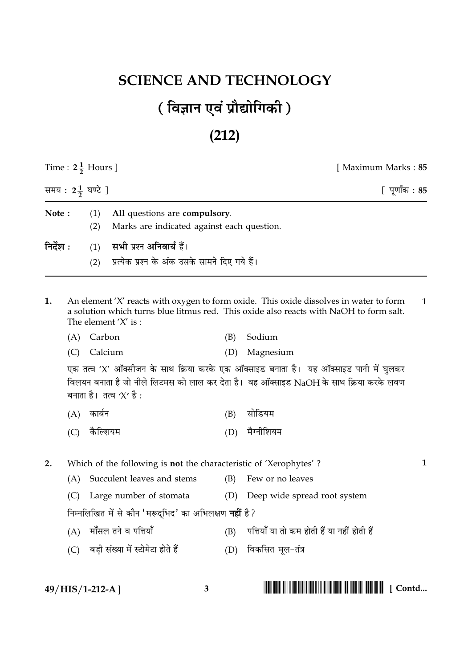## **SCIENCE AND TECHNOLOGY** (विज्ञान एवं प्रौद्योगिकी)

## $(212)$

| Time : $2\frac{1}{2}$ Hours ]<br>समय : 2 $\frac{1}{2}$ घण्टे ]                                     |                                                                                                                                                                                                            |            |                                                |     | [ Maximum Marks : 85                                                                                                                                                            |   |  |  |  |
|----------------------------------------------------------------------------------------------------|------------------------------------------------------------------------------------------------------------------------------------------------------------------------------------------------------------|------------|------------------------------------------------|-----|---------------------------------------------------------------------------------------------------------------------------------------------------------------------------------|---|--|--|--|
|                                                                                                    |                                                                                                                                                                                                            |            |                                                |     | [पूर्णांक : 85                                                                                                                                                                  |   |  |  |  |
| Note:<br>(1)<br>All questions are compulsory.<br>(2)<br>Marks are indicated against each question. |                                                                                                                                                                                                            |            |                                                |     |                                                                                                                                                                                 |   |  |  |  |
| निर्देश :                                                                                          |                                                                                                                                                                                                            | (1)        | सभी प्रश्न अनिवार्य हैं।                       |     |                                                                                                                                                                                 |   |  |  |  |
|                                                                                                    |                                                                                                                                                                                                            | (2)        | प्रत्येक प्रश्न के अंक उसके सामने दिए गये हैं। |     |                                                                                                                                                                                 |   |  |  |  |
| 1.                                                                                                 | An element 'X' reacts with oxygen to form oxide. This oxide dissolves in water to form<br>a solution which turns blue litmus red. This oxide also reacts with NaOH to form salt.<br>The element $'X'$ is : |            |                                                |     |                                                                                                                                                                                 | 1 |  |  |  |
|                                                                                                    | (A)                                                                                                                                                                                                        | Carbon     |                                                | (B) | Sodium                                                                                                                                                                          |   |  |  |  |
|                                                                                                    | (C)                                                                                                                                                                                                        | Calcium    |                                                | (D) | Magnesium                                                                                                                                                                       |   |  |  |  |
|                                                                                                    |                                                                                                                                                                                                            |            | बनाता है। तत्व $'X'$ है :                      |     | एक तत्व 'X' ऑक्सीजन के साथ क्रिया करके एक ऑक्साइड बनाता है। यह ऑक्साइड पानी में घुलकर<br>विलयन बनाता है जो नीले लिटमस को लाल कर देता है। वह ऑक्साइड NaOH के साथ क्रिया करके लवण |   |  |  |  |
|                                                                                                    |                                                                                                                                                                                                            | (A) कार्बन |                                                | (B) | सोडियम                                                                                                                                                                          |   |  |  |  |
|                                                                                                    | (C)                                                                                                                                                                                                        | कैल्शियम   |                                                | (D) | मैग्नीशियम                                                                                                                                                                      |   |  |  |  |
| 2.                                                                                                 | Which of the following is <b>not</b> the characteristic of 'Xerophytes'?                                                                                                                                   |            |                                                |     |                                                                                                                                                                                 |   |  |  |  |
|                                                                                                    | (A)                                                                                                                                                                                                        |            | Succulent leaves and stems                     | (B) | Few or no leaves                                                                                                                                                                |   |  |  |  |
|                                                                                                    | (C)                                                                                                                                                                                                        |            | Large number of stomata                        |     | (D) Deep wide spread root system                                                                                                                                                |   |  |  |  |
|                                                                                                    | निम्नलिखित में से कौन 'मरूद्भिद' का अभिलक्षण <b>नहीं</b> है?                                                                                                                                               |            |                                                |     |                                                                                                                                                                                 |   |  |  |  |
|                                                                                                    | (A)                                                                                                                                                                                                        |            | मॉंसल तने व पत्तियाँ                           | (B) | पत्तियाँ या तो कम होती हैं या नहीं होती हैं                                                                                                                                     |   |  |  |  |
|                                                                                                    | (C)                                                                                                                                                                                                        |            | बड़ी संख्या में स्टोमेटा होते हैं              | (D) | विकसित मूल-तंत्र                                                                                                                                                                |   |  |  |  |
|                                                                                                    |                                                                                                                                                                                                            |            |                                                |     |                                                                                                                                                                                 |   |  |  |  |

 $49/HIS/1-212-A$ ]

 $3 \quad \text{ }$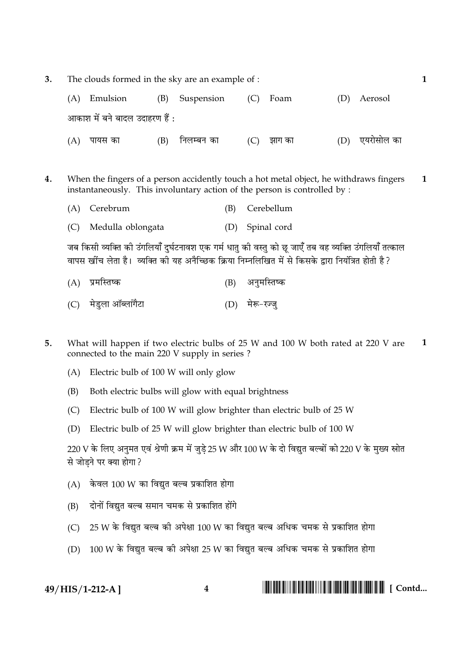$\overline{3}$ . The clouds formed in the sky are an example of :

|     | (A) Emulsion                   |     | (B) Suspension | $(C)$ Foam   | (D) Aerosol    |
|-----|--------------------------------|-----|----------------|--------------|----------------|
|     | आकाश में बने बादल उदाहरण हैं : |     |                |              |                |
| (A) | पायस का                        | (B) | निलम्बन का     | $(C)$ झाग का | (D) एयरोसोल का |

- $\overline{4}$ . When the fingers of a person accidently touch a hot metal object, he withdraws fingers  $\mathbf{1}$ instantaneously. This involuntary action of the person is controlled by :
	- (A) Cerebrum  $(B)$ Cerebellum
	- (C) Medulla oblongata (D) Spinal cord

जब किसी व्यक्ति की उंगलियाँ दुर्घटनावश एक गर्म धातु की वस्तु को छू जाएँ तब वह व्यक्ति उंगलियाँ तत्काल वापस खींच लेता है। व्यक्ति की यह अनैच्छिक क्रिया निम्नलिखित में से किसके द्वारा नियंत्रित होती है?

- (A) प्रमस्तिष्क (B) अनुमस्तिष्क
- (C) मेडुला ऑब्लांगैटा (D) मेरू-रज्जू
- 5. What will happen if two electric bulbs of 25 W and 100 W both rated at 220 V are  $\mathbf{1}$ connected to the main 220 V supply in series ?
	- (A) Electric bulb of 100 W will only glow
	- Both electric bulbs will glow with equal brightness (B)
	- Electric bulb of 100 W will glow brighter than electric bulb of 25 W  $(C)$
	- (D) Electric bulb of 25 W will glow brighter than electric bulb of 100 W

 $220$  V के लिए अनुमत एवं श्रेणी क्रम में जुडे 25 W और 100 W के दो विद्युत बल्बों को 220 V के मुख्य स्रोत से जोडने पर क्या होगा?

- $(A)$  केवल 100 W का विद्यत बल्ब प्रकाशित होगा
- दोनों विद्युत बल्ब समान चमक से प्रकाशित होंगे  $(B)$
- $25$  W के विद्युत बल्ब की अपेक्षा 100 W का विद्युत बल्ब अधिक चमक से प्रकाशित होगा  $(C)$
- (D) 100 W के विद्युत बल्ब की अपेक्षा 25 W का विद्युत बल्ब अधिक चमक से प्रकाशित होगा

49/HIS/1-212-A]

 $\overline{4}$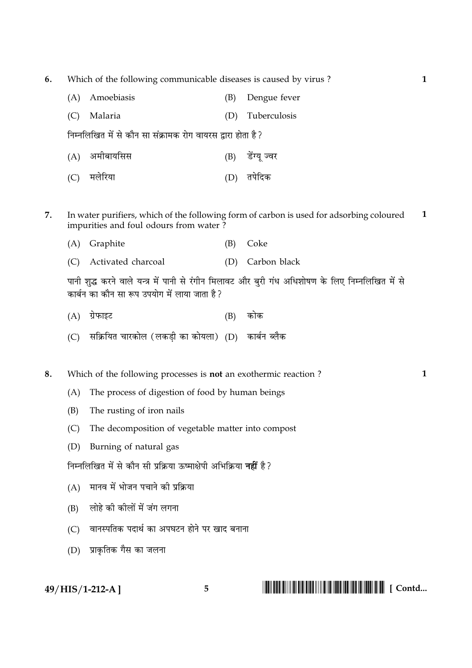6. Which of the following communicable diseases is caused by virus?

- (A) Amoebiasis Dengue fever (B) (D) Tuberculosis (C) Malaria निम्नलिखित में से कौन सा संक्रामक रोग वायरस द्वारा होता है ? (A) अमीबायसिस (B) डेंग्य ज्वर (D) तपेदिक (C) मलेरिया
- $\overline{7}$ . In water purifiers, which of the following form of carbon is used for adsorbing coloured  $\mathbf{1}$ impurities and foul odours from water?
	- (A) Graphite Coke (B)
	- (C) Activated charcoal (D) Carbon black

पानी शुद्ध करने वाले यन्त्र में पानी से रंगीन मिलावट और बुरी गंध अधिशोषण के लिए निम्नलिखित में से कार्बन का कौन सा रूप उपयोग में लाया जाता है?

- $(B)$  कोक  $(A)$  ग्रेफाइट
- (C) सक्रियित चारकोल (लकडी का कोयला) (D) कार्बन ब्लैक

Which of the following processes is **not** an exothermic reaction? 8.

- The process of digestion of food by human beings  $(A)$
- $(B)$ The rusting of iron nails
- $(C)$ The decomposition of vegetable matter into compost
- (D) Burning of natural gas

निम्नलिखित में से कौन सी प्रक्रिया ऊष्माक्षेपी अभिक्रिया **नहीं** है ?

- (A) मानव में भोजन पचाने की प्रक्रिया
- (B) लोहे की कीलों में जंग लगना
- (C) वानस्पतिक पदार्थ का अपघटन होने पर खाद बनाना
- (D) प्राकृतिक गैस का जलना

49/HIS/1-212-A]

 $\mathbf{1}$ 

 $\overline{5}$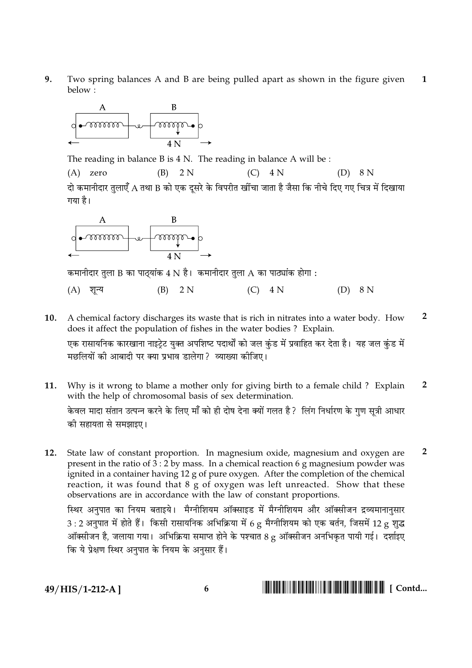$9<sub>1</sub>$ Two spring balances A and B are being pulled apart as shown in the figure given  $\mathbf{1}$ below:



The reading in balance  $B$  is  $4 N$ . The reading in balance  $A$  will be :

 $(B)$  2 N  $(A)$  zero  $(C)$  4 N  $(D)$  8 N दो कमानीदार तलाएँ A तथा B को एक दसरे के विपरीत खींचा जाता है जैसा कि नीचे दिए गए चित्र में दिखाया गया है।



कमानीदार तुला B का पाठ्यांक 4 N है। कमानीदार तुला A का पाठ्यांक होगा :

(A) शून्य  $(B)$ 2 N  $(C)$  4 N  $(D)$  8 N

- $\overline{2}$ 10. A chemical factory discharges its waste that is rich in nitrates into a water body. How does it affect the population of fishes in the water bodies ? Explain. एक रासायनिक कारखाना नाइटेट यक्त अपशिष्ट पदार्थों को जल कंड में प्रवाहित कर देता है। यह जल कंड में मछलियों की आबादी पर क्या प्रभाव डालेगा? व्याख्या कीजिए।
- 11. Why is it wrong to blame a mother only for giving birth to a female child ? Explain  $\overline{2}$ with the help of chromosomal basis of sex determination.

केवल मादा संतान उत्पन्न करने के लिए माँ को ही दोष देना क्यों गलत है ? लिंग निर्धारण के गुण सूत्री आधार की सहायता से समझाइए।

 $\overline{2}$  $12.$ State law of constant proportion. In magnesium oxide, magnesium and oxygen are present in the ratio of  $3:2$  by mass. In a chemical reaction 6 g magnesium powder was ignited in a container having 12 g of pure oxygen. After the completion of the chemical reaction, it was found that 8 g of oxygen was left unreacted. Show that these observations are in accordance with the law of constant proportions.

स्थिर अनुपात का नियम बताइये। मैग्नीशियम ऑक्साइड में मैग्नीशियम और ऑक्सीजन द्रव्यमानानसार  $3:2$  अनुपात में होते हैं। किसी रासायनिक अभिक्रिया में 6 g मैग्नीशियम को एक बर्तन, जिसमें 12 g शुद्ध ऑक्सीजन है, जलाया गया। अभिक्रिया समाप्त होने के पश्चात 8 g ऑक्सीजन अनभिकृत पायी गई। दर्शाइए कि ये प्रेक्षण स्थिर अनुपात के नियम के अनुसार हैं।

49/HIS/1-212-A]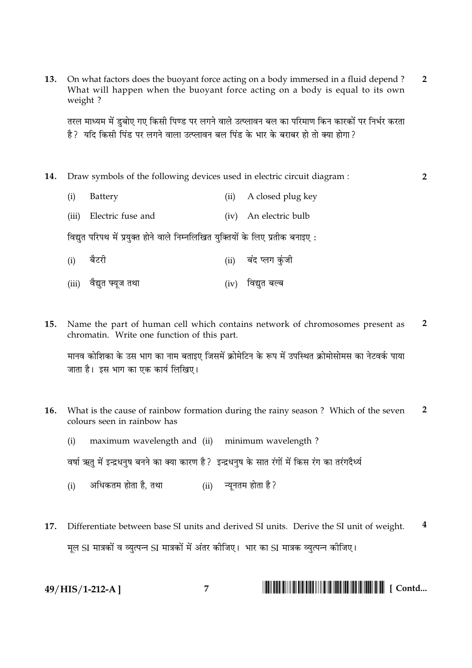On what factors does the buoyant force acting on a body immersed in a fluid depend?  $\overline{2}$  $13.$ What will happen when the buoyant force acting on a body is equal to its own weight?

तरल माध्यम में डबोए गए किसी पिण्ड पर लगने वाले उत्प्लावन बल का परिमाण किन कारकों पर निर्भर करता है ? यदि किसी पिंड पर लगने वाला उत्प्लावन बल पिंड के भार के बराबर हो तो क्या होगा ?

- $14.$ Draw symbols of the following devices used in electric circuit diagram :
- $\overline{2}$

- $(i)$ Battery (ii) A closed plug key
- (iii) Electric fuse and (iv) An electric bulb

विद्युत परिपथ में प्रयुक्त होने वाले निम्नलिखित युक्तियों के लिए प्रतीक बनाइए:

- बैटरी (ii) बंद प्लग कुंजी  $(i)$
- (iii) वैद्युत फ्यूज तथा  $(iv)$  विद्युत बल्ब
- $\overline{2}$  $15.$ Name the part of human cell which contains network of chromosomes present as chromatin. Write one function of this part.

मानव कोशिका के उस भाग का नाम बताइए जिसमें क्रोमेटिन के रूप में उपस्थित क्रोमोसोमस का नेटवर्क पाया जाता है। इस भाग का एक कार्य लिखिए।

- $16<sub>1</sub>$ What is the cause of rainbow formation during the rainy season? Which of the seven  $\overline{2}$ colours seen in rainbow has
	- maximum wavelength and (ii) minimum wavelength?  $(i)$

वर्षा ऋतु में इन्द्रधनुष बनने का क्या कारण है ? इन्द्रधनुष के सात रंगों में किस रंग का तरंगदैर्ध्य

- अधिकतम होता है, तथा (ii) न्युनतम होता है?  $(i)$
- $\boldsymbol{4}$ Differentiate between base SI units and derived SI units. Derive the SI unit of weight.  $17.$ मूल SI मात्रकों व व्युत्पन्न SI मात्रकों में अंतर कीजिए। भार का SI मात्रक व्युत्पन्न कीजिए।

**IN THE TERM AND THE TERM OF THE SET OF SECTION AND THE SET OF SECTION AND THE SET OF SECTION AND THE SET OF SECTION AND THE SET OF SECTION AND THE SET OF SECTION AND THE SET OF SECTION AND THE SET OF SECTION AND THE SET O** 49/HIS/1-212-A]  $\overline{7}$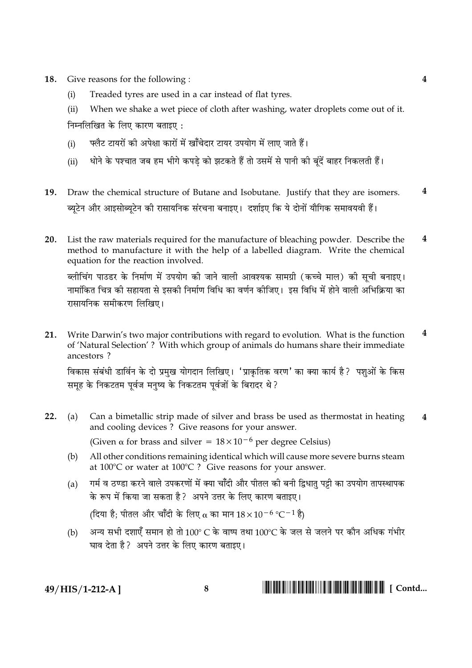Give reasons for the following: 18.

> Treaded tyres are used in a car instead of flat tyres.  $(i)$

 $(ii)$ When we shake a wet piece of cloth after washing, water droplets come out of it. निम्नलिखित के लिए कारण बताइए :

- फ्लैट टायरों की अपेक्षा कारों में खाँचेदार टायर उपयोग में लाए जाते हैं।  $(i)$
- धोने के पश्चात जब हम भीगे कपडे को झटकते हैं तो उसमें से पानी की बंदें बाहर निकलती हैं।  $(ii)$
- $\boldsymbol{4}$ 19. Draw the chemical structure of Butane and Isobutane. Justify that they are isomers. ब्युटेन और आइसोब्युटेन की रासायनिक संरचना बनाइए। दर्शाइए कि ये दोनों यौगिक समावयवी हैं।
- List the raw materials required for the manufacture of bleaching powder. Describe the  $\overline{\mathbf{4}}$ 20. method to manufacture it with the help of a labelled diagram. Write the chemical equation for the reaction involved.

ब्लीचिंग पाउडर के निर्माण में उपयोग की जाने वाली आवश्यक सामग्री (कच्चे माल) की सूची बनाइए। नामांकित चित्र की सहायता से इसकी निर्माण विधि का वर्णन कीजिए। इस विधि में होने वाली अभिक्रिया का रासायनिक समीकरण लिखिए।

4 21. Write Darwin's two major contributions with regard to evolution. What is the function of 'Natural Selection'? With which group of animals do humans share their immediate ancestors? विकास संबंधी डार्विन के दो प्रमुख योगदान लिखिए। 'प्राकृतिक वरण' का क्या कार्य है? पशुओं के किस

समह के निकटतम पर्वज मनष्य के निकटतम पर्वजों के बिरादर थे ?

- 22.  $(a)$ Can a bimetallic strip made of silver and brass be used as thermostat in heating  $\overline{\mathbf{4}}$ and cooling devices ? Give reasons for your answer. (Given  $\alpha$  for brass and silver =  $18 \times 10^{-6}$  per degree Celsius)
	- All other conditions remaining identical which will cause more severe burns steam  $(b)$ at  $100^{\circ}$ C or water at  $100^{\circ}$ C ? Give reasons for your answer.
	- गर्म व ठण्डा करने वाले उपकरणों में क्या चाँदी और पीतल की बनी द्विधात पट्टी का उपयोग तापस्थापक  $(a)$ के रूप में किया जा सकता है ? अपने उत्तर के लिए कारण बताइए।

(दिया है; पीतल और चाँदी के लिए  $\alpha$  का मान  $18 \times 10^{-6}$  °C $^{-1}$  है)

अन्य सभी दशाएँ समान हो तो 100° C के वाष्प तथा 100°C के जल से जलने पर कौन अधिक गंभीर  $(b)$ घाव देता है? अपने उत्तर के लिए कारण बताइए।

49/HIS/1-212-A]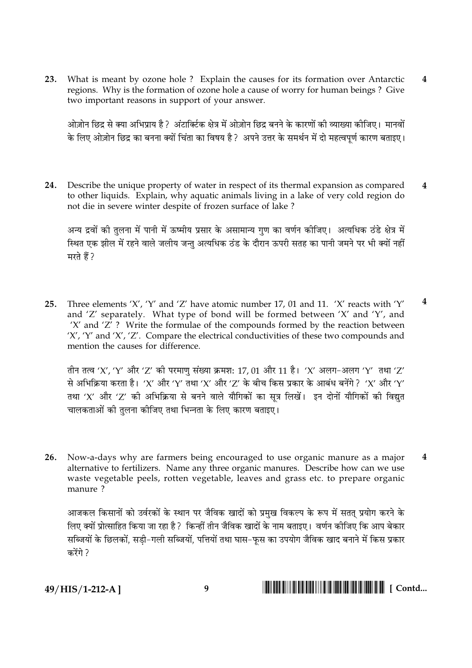What is meant by ozone hole ? Explain the causes for its formation over Antarctic  $23.$  $\overline{\mathbf{4}}$ regions. Why is the formation of ozone hole a cause of worry for human beings? Give two important reasons in support of your answer.

ओज़ोन छिद्र से क्या अभिप्राय है ? अंटार्क्टिक क्षेत्र में ओज़ोन छिद्र बनने के कारणों की व्याख्या कीजिए। मानवों के लिए ओज़ोन छिद्र का बनना क्यों चिंता का विषय है ? अपने उत्तर के समर्थन में दो महत्वपर्ण कारण बताइए।

Describe the unique property of water in respect of its thermal expansion as compared 24.  $\boldsymbol{4}$ to other liquids. Explain, why aquatic animals living in a lake of very cold region do not die in severe winter despite of frozen surface of lake?

अन्य द्रवों की तलना में पानी में ऊष्मीय प्रसार के असामान्य गण का वर्णन कीजिए। अत्यधिक ठंडे क्षेत्र में स्थित एक झील में रहने वाले जलीय जन्त अत्यधिक ठंड के दौरान ऊपरी सतह का पानी जमने पर भी क्यों नहीं मरते हैं ?

 $\overline{\mathbf{4}}$ Three elements 'X', 'Y' and 'Z' have atomic number 17, 01 and 11. 'X' reacts with 'Y'  $25.$ and 'Z' separately. What type of bond will be formed between 'X' and 'Y', and 'X' and 'Z'? Write the formulae of the compounds formed by the reaction between 'X', 'Y' and 'X', 'Z'. Compare the electrical conductivities of these two compounds and mention the causes for difference.

तीन तत्व 'X', 'Y' और 'Z' की परमाण संख्या क्रमश: 17, 01 और 11 है। 'X' अलग-अलग 'Y' तथा 'Z' से अभिक्रिया करता है। 'X' और 'Y' तथा 'X' और 'Z' के बीच किस प्रकार के आबंध बनेंगे ? 'X' और 'Y' तथा 'X' और 'Z' की अभिक्रिया से बनने वाले यौगिकों का सत्र लिखें। इन दोनों यौगिकों की विद्यत चालकताओं की तुलना कीजिए तथा भिन्नता के लिए कारण बताइए।

Now-a-days why are farmers being encouraged to use organic manure as a major  $\overline{\mathbf{4}}$  $26.$ alternative to fertilizers. Name any three organic manures. Describe how can we use waste vegetable peels, rotten vegetable, leaves and grass etc. to prepare organic manure ?

आजकल किसानों को उर्वरकों के स्थान पर जैविक खादों को प्रमख विकल्प के रूप में सतत प्रयोग करने के लिए क्यों प्रोत्साहित किया जा रहा है ? किन्हीं तीन जैविक खादों के नाम बताइए। वर्णन कीजिए कि आप बेकार सब्जियों के छिलकों, सडी-गली सब्जियों, पत्तियों तथा घास-फस का उपयोग जैविक खाद बनाने में किस प्रकार  $\pi \overrightarrow{in}$  ?

49/HIS/1-212-A]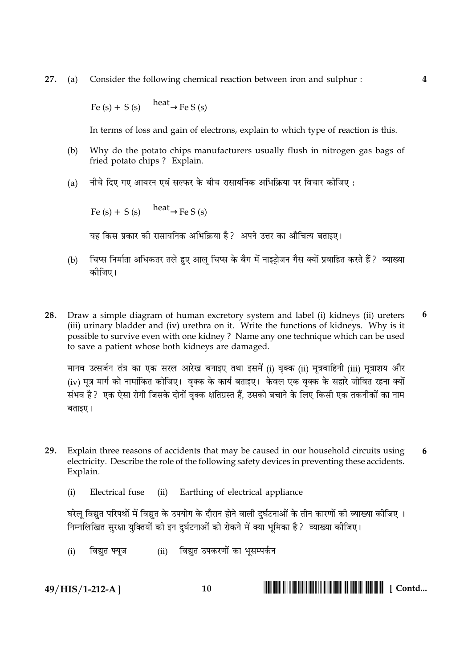27. Consider the following chemical reaction between iron and sulphur:  $(a)$ 

Fe (s) + S (s)  $\frac{\text{heat}}{\text{heat}}$  Fe S (s)

In terms of loss and gain of electrons, explain to which type of reaction is this.

- Why do the potato chips manufacturers usually flush in nitrogen gas bags of  $(b)$ fried potato chips? Explain.
- नीचे दिए गए आयरन एवं सल्फर के बीच रासायनिक अभिक्रिया पर विचार कोजिए:  $(a)$

Fe (s) + S (s)  $\frac{\text{heat}}{\text{heat}}$  Fe S (s)

यह किस प्रकार की रासायनिक अभिक्रिया है? अपने उत्तर का औचित्य बताइए।

- चिप्स निर्माता अधिकतर तले हुए आलू चिप्स के बैग में नाइट्रोजन गैस क्यों प्रवाहित करते हैं ? व्याख्या  $(b)$ कोजिए।
- Draw a simple diagram of human excretory system and label (i) kidneys (ii) ureters 6 28. (iii) urinary bladder and (iv) urethra on it. Write the functions of kidneys. Why is it possible to survive even with one kidney? Name any one technique which can be used to save a patient whose both kidneys are damaged.

मानव उत्सर्जन तंत्र का एक सरल आरेख बनाइए तथा इसमें (i) वृक्क (ii) मूत्रवाहिनी (iii) मूत्राशय और (iv) मत्र मार्ग को नामांकित कीजिए। वक्क के कार्य बताइए। केवल एक वक्क के सहारे जीवित रहना क्यों संभव है ? एक ऐसा रोगी जिसके दोनों वक्क क्षतिग्रस्त हैं. उसको बचाने के लिए किसी एक तकनीकों का नाम बताइए।

- 29. Explain three reasons of accidents that may be caused in our household circuits using 6 electricity. Describe the role of the following safety devices in preventing these accidents. Explain.
	- (ii) Earthing of electrical appliance  $(i)$ Electrical fuse

घरेल विद्युत परिपथों में विद्युत के उपयोग के दौरान होने वाली दुर्घटनाओं के तीन कारणों की व्याख्या कीजिए । निम्नलिखित सरक्षा यक्तियों की इन दर्घटनाओं को रोकने में क्या भमिका है ? व्याख्या कोजिए।

(ii) विद्युत उपकरणों का भूसम्पर्कन  $(i)$ विद्यत फ्यज

49/HIS/1-212-A]